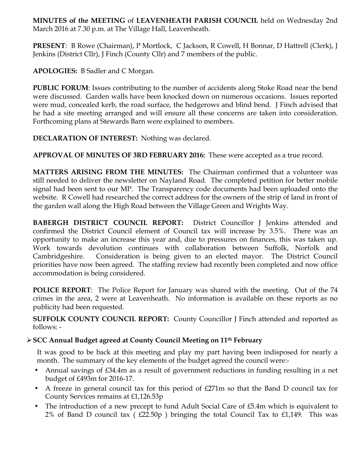**MINUTES of the MEETING** of **LEAVENHEATH PARISH COUNCIL** held on Wednesday 2nd March 2016 at 7.30 p.m. at The Village Hall, Leavenheath.

**PRESENT**: B Rowe (Chairman), P Mortlock, C Jackson, R Cowell, H Bonnar, D Hattrell (Clerk), J Jenkins (District Cllr), J Finch (County Cllr) and 7 members of the public.

**APOLOGIES:** B Sadler and C Morgan.

**PUBLIC FORUM**: Issues contributing to the number of accidents along Stoke Road near the bend were discussed. Garden walls have been knocked down on numerous occasions. Issues reported were mud, concealed kerb, the road surface, the hedgerows and blind bend. J Finch advised that he had a site meeting arranged and will ensure all these concerns are taken into consideration. Forthcoming plans at Stewards Barn were explained to members.

**DECLARATION OF INTEREST:** Nothing was declared.

**APPROVAL OF MINUTES OF 3RD FEBRUARY 2016:** These were accepted as a true record.

**MATTERS ARISING FROM THE MINUTES:** The Chairman confirmed that a volunteer was still needed to deliver the newsletter on Nayland Road. The completed petition for better mobile signal had been sent to our MP. The Transparency code documents had been uploaded onto the website. R Cowell had researched the correct address for the owners of the strip of land in front of the garden wall along the High Road between the Village Green and Wrights Way.

**BABERGH DISTRICT COUNCIL REPORT:** District Councillor J Jenkins attended and confirmed the District Council element of Council tax will increase by 3.5%. There was an opportunity to make an increase this year and, due to pressures on finances, this was taken up. Work towards devolution continues with collaboration between Suffolk, Norfolk and Cambridgeshire. Consideration is being given to an elected mayor. The District Council priorities have now been agreed. The staffing review had recently been completed and now office accommodation is being considered.

**POLICE REPORT**: The Police Report for January was shared with the meeting. Out of the 74 crimes in the area, 2 were at Leavenheath. No information is available on these reports as no publicity had been requested.

**SUFFOLK COUNTY COUNCIL REPORT:** County Councillor J Finch attended and reported as follows: -

# Ø**SCC Annual Budget agreed at County Council Meeting on 11th February**

It was good to be back at this meeting and play my part having been indisposed for nearly a month. The summary of the key elements of the budget agreed the council were:-

- Annual savings of £34.4m as a result of government reductions in funding resulting in a net budget of £493m for 2016-17.
- A freeze in general council tax for this period of £271m so that the Band D council tax for County Services remains at £1,126.53p
- The introduction of a new precept to fund Adult Social Care of £5.4m which is equivalent to 2% of Band D council tax ( $£22.50p$ ) bringing the total Council Tax to  $£1,149$ . This was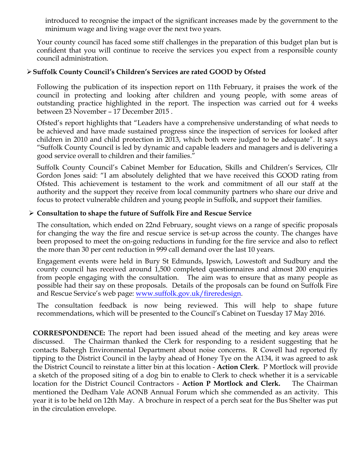introduced to recognise the impact of the significant increases made by the government to the minimum wage and living wage over the next two years.

Your county council has faced some stiff challenges in the preparation of this budget plan but is confident that you will continue to receive the services you expect from a responsible county council administration.

## Ø**Suffolk County Council's Children's Services are rated GOOD by Ofsted**

Following the publication of its inspection report on 11th February, it praises the work of the council in protecting and looking after children and young people, with some areas of outstanding practice highlighted in the report. The inspection was carried out for 4 weeks between 23 November – 17 December 2015 .

Ofsted's report highlights that "Leaders have a comprehensive understanding of what needs to be achieved and have made sustained progress since the inspection of services for looked after children in 2010 and child protection in 2013, which both were judged to be adequate". It says "Suffolk County Council is led by dynamic and capable leaders and managers and is delivering a good service overall to children and their families."

Suffolk County Council's Cabinet Member for Education, Skills and Children's Services, Cllr Gordon Jones said: "I am absolutely delighted that we have received this GOOD rating from Ofsted. This achievement is testament to the work and commitment of all our staff at the authority and the support they receive from local community partners who share our drive and focus to protect vulnerable children and young people in Suffolk, and support their families.

## Ø **Consultation to shape the future of Suffolk Fire and Rescue Service**

The consultation, which ended on 22nd February, sought views on a range of specific proposals for changing the way the fire and rescue service is set-up across the county. The changes have been proposed to meet the on-going reductions in funding for the fire service and also to reflect the more than 30 per cent reduction in 999 call demand over the last 10 years.

Engagement events were held in Bury St Edmunds, Ipswich, Lowestoft and Sudbury and the county council has received around 1,500 completed questionnaires and almost 200 enquiries from people engaging with the consultation. The aim was to ensure that as many people as possible had their say on these proposals. Details of the proposals can be found on Suffolk Fire and Rescue Service's web page: www.suffolk.gov.uk/fireredesign.

The consultation feedback is now being reviewed. This will help to shape future recommendations, which will be presented to the Council's Cabinet on Tuesday 17 May 2016.

**CORRESPONDENCE:** The report had been issued ahead of the meeting and key areas were discussed. The Chairman thanked the Clerk for responding to a resident suggesting that he contacts Babergh Environmental Department about noise concerns. R Cowell had reported fly tipping to the District Council in the layby ahead of Honey Tye on the A134, it was agreed to ask the District Council to reinstate a litter bin at this location - **Action Clerk**. P Mortlock will provide a sketch of the proposed siting of a dog bin to enable to Clerk to check whether it is a servicable location for the District Council Contractors - **Action P Mortlock and Clerk.** The Chairman mentioned the Dedham Vale AONB Annual Forum which she commended as an activity. This year it is to be held on 12th May. A brochure in respect of a perch seat for the Bus Shelter was put in the circulation envelope.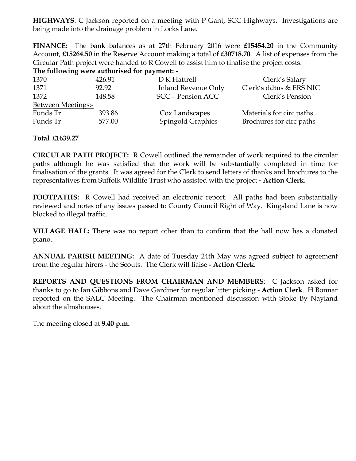**HIGHWAYS**: C Jackson reported on a meeting with P Gant, SCC Highways. Investigations are being made into the drainage problem in Locks Lane.

**FINANCE:** The bank balances as at 27th February 2016 were **£15454.20** in the Community Account, **£15264.50** in the Reserve Account making a total of **£30718.70**. A list of expenses from the Circular Path project were handed to R Cowell to assist him to finalise the project costs.

**The following were authorised for payment: -**

| 1370               | 426.91 | D K Hattrell               | Clerk's Salary           |
|--------------------|--------|----------------------------|--------------------------|
| 1371               | 92.92  | <b>Inland Revenue Only</b> | Clerk's ddtns & ERS NIC  |
| 1372               | 148.58 | <b>SCC</b> - Pension ACC   | Clerk's Pension          |
| Between Meetings:- |        |                            |                          |
| Funds Tr           | 393.86 | Cox Landscapes             | Materials for circ paths |
| Funds Tr           | 577.00 | <b>Spingold Graphics</b>   | Brochures for circ paths |
|                    |        |                            |                          |

## **Total £1639.27**

**CIRCULAR PATH PROJECT:** R Cowell outlined the remainder of work required to the circular paths although he was satisfied that the work will be substantially completed in time for finalisation of the grants. It was agreed for the Clerk to send letters of thanks and brochures to the representatives from Suffolk Wildlife Trust who assisted with the project **- Action Clerk.** 

**FOOTPATHS:** R Cowell had received an electronic report. All paths had been substantially reviewed and notes of any issues passed to County Council Right of Way. Kingsland Lane is now blocked to illegal traffic.

**VILLAGE HALL:** There was no report other than to confirm that the hall now has a donated piano.

**ANNUAL PARISH MEETING:** A date of Tuesday 24th May was agreed subject to agreement from the regular hirers - the Scouts. The Clerk will liaise **- Action Clerk.** 

**REPORTS AND QUESTIONS FROM CHAIRMAN AND MEMBERS**: C Jackson asked for thanks to go to Ian Gibbons and Dave Gardiner for regular litter picking - **Action Clerk**. H Bonnar reported on the SALC Meeting. The Chairman mentioned discussion with Stoke By Nayland about the almshouses.

The meeting closed at **9.40 p.m.**